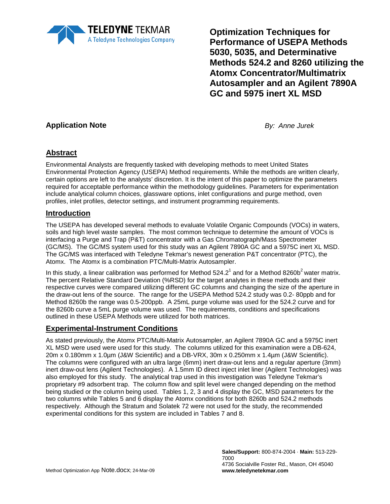

**Optimization Techniques for Performance of USEPA Methods 5030, 5035, and Determinative Methods 524.2 and 8260 utilizing the Atomx Concentrator/Multimatrix Autosampler and an Agilent 7890A GC and 5975 inert XL MSD**

## **Application Note** *By: Anne Jurek*

## **Abstract**

Environmental Analysts are frequently tasked with developing methods to meet United States Environmental Protection Agency (USEPA) Method requirements. While the methods are written clearly, certain options are left to the analysts' discretion. It is the intent of this paper to optimize the parameters required for acceptable performance within the methodology guidelines. Parameters for experimentation include analytical column choices, glassware options, inlet configurations and purge method, oven profiles, inlet profiles, detector settings, and instrument programming requirements.

### **Introduction**

The USEPA has developed several methods to evaluate Volatile Organic Compounds (VOCs) in waters, soils and high level waste samples. The most common technique to determine the amount of VOCs is interfacing a Purge and Trap (P&T) concentrator with a Gas Chromatograph/Mass Spectrometer (GC/MS). The GC/MS system used for this study was an Agilent 7890A GC and a 5975C inert XL MSD. The GC/MS was interfaced with Teledyne Tekmar's newest generation P&T concentrator (PTC), the Atomx. The Atomx is a combination PTC/Multi-Matrix Autosampler.

In this study, a linear calibration was performed for Method  $524.2<sup>1</sup>$  and for a Method  $8260b<sup>2</sup>$  water matrix. The percent Relative Standard Deviation (%RSD) for the target analytes in these methods and their respective curves were compared utilizing different GC columns and changing the size of the aperture in the draw-out lens of the source. The range for the USEPA Method 524.2 study was 0.2- 80ppb and for Method 8260b the range was 0.5-200ppb. A 25mL purge volume was used for the 524.2 curve and for the 8260b curve a 5mL purge volume was used. The requirements, conditions and specifications outlined in these USEPA Methods were utilized for both matrices.

#### **Experimental-Instrument Conditions**

As stated previously, the Atomx PTC/Multi-Matrix Autosampler, an Agilent 7890A GC and a 5975C inert XL MSD were used were used for this study. The columns utilized for this examination were a DB-624, 20m x 0.180mm x 1.0µm (J&W Scientific) and a DB-VRX, 30m x 0.250mm x 1.4µm (J&W Scientific). The columns were configured with an ultra large (6mm) inert draw-out lens and a regular aperture (3mm) inert draw-out lens (Agilent Technologies). A 1.5mm ID direct inject inlet liner (Agilent Technologies) was also employed for this study. The analytical trap used in this investigation was Teledyne Tekmar's proprietary #9 adsorbent trap. The column flow and split level were changed depending on the method being studied or the column being used. Tables 1, 2, 3 and 4 display the GC, MSD parameters for the two columns while Tables 5 and 6 display the Atomx conditions for both 8260b and 524.2 methods respectively. Although the Stratum and Solatek 72 were not used for the study, the recommended experimental conditions for this system are included in Tables 7 and 8.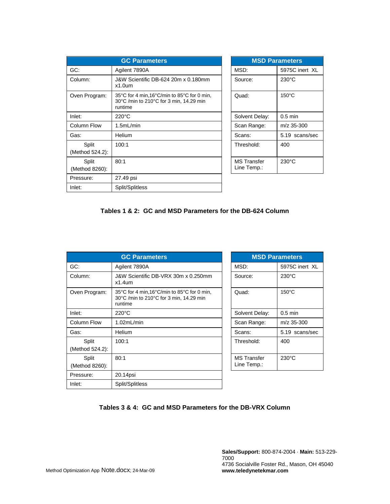| <b>GC Parameters</b>     |                                                                                                  |  |                                   | <b>MSD Parameters</b> |
|--------------------------|--------------------------------------------------------------------------------------------------|--|-----------------------------------|-----------------------|
| GC:                      | Agilent 7890A                                                                                    |  | MSD:                              | 5975C inert XL        |
| Column:                  | J&W Scientific DB-624 20m x 0.180mm<br>$x1.0$ um                                                 |  | Source:                           | $230^{\circ}$ C       |
| Oven Program:            | 35°C for 4 min,16°C/min to 85°C for 0 min,<br>30°C /min to 210°C for 3 min, 14.29 min<br>runtime |  | Quad:                             | $150^{\circ}$ C       |
| Inlet:                   | $220^{\circ}$ C                                                                                  |  | Solvent Delay:                    | $0.5$ min             |
| Column Flow              | 1.5mL/min                                                                                        |  | Scan Range:                       | $m/z$ 35-300          |
| Gas:                     | Helium                                                                                           |  | Scans:                            | 5.19 scans/sec        |
| Split<br>(Method 524.2): | 100:1                                                                                            |  | Threshold:                        | 400                   |
| Split<br>(Method 8260):  | 80:1                                                                                             |  | <b>MS</b> Transfer<br>Line Temp.: | $230^{\circ}$ C       |
| Pressure:                | 27.49 psi                                                                                        |  |                                   |                       |
| Inlet:                   | Split/Splitless                                                                                  |  |                                   |                       |

| <b>MSD Parameters</b>             |                 |  |  |  |  |
|-----------------------------------|-----------------|--|--|--|--|
| MSD:                              | 5975C inert XL  |  |  |  |  |
| Source:                           | $230^{\circ}$ C |  |  |  |  |
| Quad:                             | $150^{\circ}$ C |  |  |  |  |
| Solvent Delay:                    | $0.5$ min       |  |  |  |  |
| Scan Range:                       | m/z 35-300      |  |  |  |  |
| Scans:                            | 5.19 scans/sec  |  |  |  |  |
| Threshold:                        | 400             |  |  |  |  |
| <b>MS Transfer</b><br>Line Temp.: | $230^{\circ}$ C |  |  |  |  |

|  | Tables 1 & 2: GC and MSD Parameters for the DB-624 Column |
|--|-----------------------------------------------------------|
|--|-----------------------------------------------------------|

| <b>GC Parameters</b>     |                                                                                                   |  |                                   | <b>MSD Parameters</b> |
|--------------------------|---------------------------------------------------------------------------------------------------|--|-----------------------------------|-----------------------|
| GC:                      | Agilent 7890A                                                                                     |  | MSD:                              | 5975C inert XL        |
| Column:                  | J&W Scientific DB-VRX 30m x 0.250mm<br>$x1.4$ um                                                  |  | Source:                           | $230^{\circ}$ C       |
| Oven Program:            | 35°C for 4 min, 16°C/min to 85°C for 0 min,<br>30°C /min to 210°C for 3 min, 14.29 min<br>runtime |  | Quad:                             | $150^{\circ}$ C       |
| Inlet:                   | $220^{\circ}$ C                                                                                   |  | Solvent Delay:                    | $0.5$ min             |
| <b>Column Flow</b>       | 1.02mL/min                                                                                        |  | Scan Range:                       | $m/z$ 35-300          |
| Gas:                     | Helium                                                                                            |  | Scans:                            | 5.19 scans/sec        |
| Split<br>(Method 524.2): | 100:1                                                                                             |  | Threshold:                        | 400                   |
| Split<br>(Method 8260):  | 80:1                                                                                              |  | <b>MS Transfer</b><br>Line Temp.: | $230^{\circ}$ C       |
| Pressure:                | 20.14psi                                                                                          |  |                                   |                       |
| Inlet:                   | Split/Splitless                                                                                   |  |                                   |                       |

| <b>MSD Parameters</b>      |                 |  |  |  |
|----------------------------|-----------------|--|--|--|
| MSD:                       | 5975C inert XL  |  |  |  |
| Source:                    | $230^{\circ}$ C |  |  |  |
| Quad:                      | 150°C           |  |  |  |
| Solvent Delay:             | $0.5$ min       |  |  |  |
| Scan Range:                | m/z 35-300      |  |  |  |
| Scans:                     | 5.19 scans/sec  |  |  |  |
| Threshold:                 | 400             |  |  |  |
| MS Transfer<br>Line Temp.: | $230^{\circ}$ C |  |  |  |

#### **Tables 3 & 4: GC and MSD Parameters for the DB-VRX Column**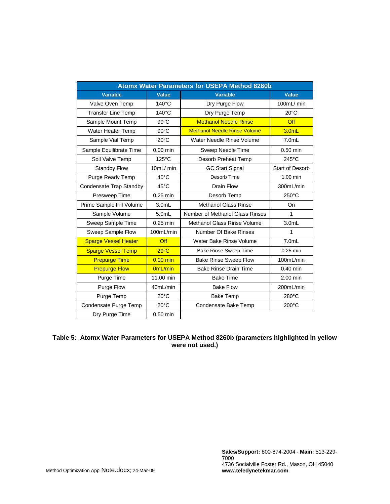| <b>Atomx Water Parameters for USEPA Method 8260b</b> |                  |                                     |                        |  |  |  |
|------------------------------------------------------|------------------|-------------------------------------|------------------------|--|--|--|
| <b>Variable</b>                                      | Value            | <b>Variable</b>                     | Value                  |  |  |  |
| Valve Oven Temp                                      | 140°C            | Dry Purge Flow                      | 100mL/ min             |  |  |  |
| <b>Transfer Line Temp</b>                            | $140^{\circ}$ C  | Dry Purge Temp                      | $20^{\circ}$ C         |  |  |  |
| Sample Mount Temp                                    | $90^{\circ}$ C   | <b>Methanol Needle Rinse</b>        | Off                    |  |  |  |
| Water Heater Temp                                    | $90^{\circ}$ C   | <b>Methanol Needle Rinse Volume</b> | 3.0 <sub>m</sub>       |  |  |  |
| Sample Vial Temp                                     | $20^{\circ}$ C   | Water Needle Rinse Volume           | $7.0m$ L               |  |  |  |
| Sample Equilibrate Time                              | $0.00$ min       | Sweep Needle Time                   | $0.50$ min             |  |  |  |
| Soil Valve Temp                                      | $125^{\circ}$ C  | Desorb Preheat Temp                 | $245^{\circ}$ C        |  |  |  |
| <b>Standby Flow</b>                                  | 10mL/ min        | <b>GC Start Signal</b>              | <b>Start of Desorb</b> |  |  |  |
| Purge Ready Temp                                     | $40^{\circ}$ C   | Desorb Time                         | $1.00$ min             |  |  |  |
| Condensate Trap Standby                              | $45^{\circ}$ C   | <b>Drain Flow</b>                   | 300mL/min              |  |  |  |
| Presweep Time                                        | $0.25$ min       | Desorb Temp                         | 250°C                  |  |  |  |
| Prime Sample Fill Volume                             | 3.0 <sub>m</sub> | <b>Methanol Glass Rinse</b>         | <b>On</b>              |  |  |  |
| Sample Volume                                        | 5.0mL            | Number of Methanol Glass Rinses     | $\mathbf{1}$           |  |  |  |
| Sweep Sample Time                                    | $0.25$ min       | Methanol Glass Rinse Volume         | 3.0 <sub>m</sub>       |  |  |  |
| Sweep Sample Flow                                    | 100mL/min        | Number Of Bake Rinses               | 1                      |  |  |  |
| <b>Sparge Vessel Heater</b>                          | Off              | Water Bake Rinse Volume             | $7.0m$ L               |  |  |  |
| <b>Sparge Vessel Temp</b>                            | $20^{\circ}$ C   | <b>Bake Rinse Sweep Time</b>        | $0.25$ min             |  |  |  |
| <b>Prepurge Time</b>                                 | $0.00$ min       | <b>Bake Rinse Sweep Flow</b>        | 100mL/min              |  |  |  |
| <b>Prepurge Flow</b>                                 | 0mL/min          | <b>Bake Rinse Drain Time</b>        | $0.40$ min             |  |  |  |
| Purge Time                                           | 11.00 min        | <b>Bake Time</b>                    | 2.00 min               |  |  |  |
| Purge Flow                                           | 40mL/min         | <b>Bake Flow</b>                    | 200mL/min              |  |  |  |
| Purge Temp                                           | $20^{\circ}$ C   | <b>Bake Temp</b>                    | 280°C                  |  |  |  |
| Condensate Purge Temp                                | $20^{\circ}$ C   | Condensate Bake Temp                | $200^{\circ}$ C        |  |  |  |
| Dry Purge Time                                       | $0.50$ min       |                                     |                        |  |  |  |

#### **Table 5: Atomx Water Parameters for USEPA Method 8260b (parameters highlighted in yellow were not used.)**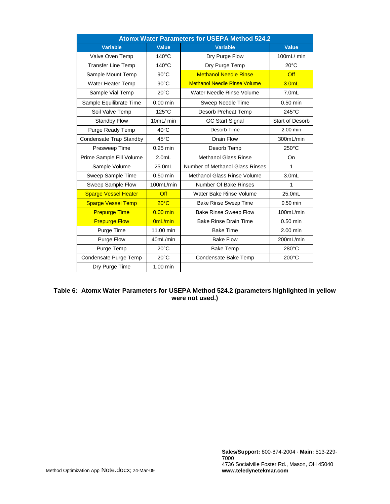| <b>Atomx Water Parameters for USEPA Method 524.2</b> |                 |                                     |                        |  |  |  |
|------------------------------------------------------|-----------------|-------------------------------------|------------------------|--|--|--|
| <b>Variable</b>                                      | Value           | <b>Variable</b>                     | Value                  |  |  |  |
| Valve Oven Temp                                      | $140^{\circ}$ C | Dry Purge Flow                      | 100mL/ min             |  |  |  |
| <b>Transfer Line Temp</b>                            | $140^{\circ}$ C | Dry Purge Temp                      | $20^{\circ}$ C         |  |  |  |
| Sample Mount Temp                                    | $90^{\circ}$ C  | <b>Methanol Needle Rinse</b>        | Off                    |  |  |  |
| Water Heater Temp                                    | 90°C            | <b>Methanol Needle Rinse Volume</b> | 3.0mL                  |  |  |  |
| Sample Vial Temp                                     | $20^{\circ}$ C  | Water Needle Rinse Volume           | $7.0m$ L               |  |  |  |
| Sample Equilibrate Time                              | $0.00$ min      | Sweep Needle Time                   | 0.50 min               |  |  |  |
| Soil Valve Temp                                      | 125°C           | Desorb Preheat Temp                 | $245^{\circ}$ C        |  |  |  |
| <b>Standby Flow</b>                                  | 10mL/ min       | <b>GC Start Signal</b>              | <b>Start of Desorb</b> |  |  |  |
| Purge Ready Temp                                     | $40^{\circ}$ C  | Desorb Time                         | $2.00$ min             |  |  |  |
| Condensate Trap Standby                              | $45^{\circ}$ C  | Drain Flow                          | 300mL/min              |  |  |  |
| Presweep Time                                        | $0.25$ min      | Desorb Temp                         | $250^{\circ}$ C        |  |  |  |
| Prime Sample Fill Volume                             | $2.0m$ L        | <b>Methanol Glass Rinse</b>         | On                     |  |  |  |
| Sample Volume                                        | 25.0mL          | Number of Methanol Glass Rinses     | 1                      |  |  |  |
| Sweep Sample Time                                    | $0.50$ min      | <b>Methanol Glass Rinse Volume</b>  | 3.0 <sub>m</sub>       |  |  |  |
| Sweep Sample Flow                                    | 100mL/min       | Number Of Bake Rinses               | 1                      |  |  |  |
| <b>Sparge Vessel Heater</b>                          | Off             | Water Bake Rinse Volume             | 25.0mL                 |  |  |  |
| <b>Sparge Vessel Temp</b>                            | $20^{\circ}$ C  | <b>Bake Rinse Sweep Time</b>        | $0.50$ min             |  |  |  |
| <b>Prepurge Time</b>                                 | $0.00$ min      | <b>Bake Rinse Sweep Flow</b>        | 100mL/min              |  |  |  |
| <b>Prepurge Flow</b>                                 | 0mL/min         | <b>Bake Rinse Drain Time</b>        | $0.50$ min             |  |  |  |
| Purge Time                                           | 11.00 min       | <b>Bake Time</b>                    | 2.00 min               |  |  |  |
| Purge Flow                                           | 40mL/min        | <b>Bake Flow</b>                    | 200mL/min              |  |  |  |
| Purge Temp                                           | $20^{\circ}$ C  | <b>Bake Temp</b>                    | 280°C                  |  |  |  |
| Condensate Purge Temp                                | $20^{\circ}$ C  | Condensate Bake Temp                | $200^{\circ}$ C        |  |  |  |
| Dry Purge Time                                       | 1.00 min        |                                     |                        |  |  |  |

#### **Table 6: Atomx Water Parameters for USEPA Method 524.2 (parameters highlighted in yellow were not used.)**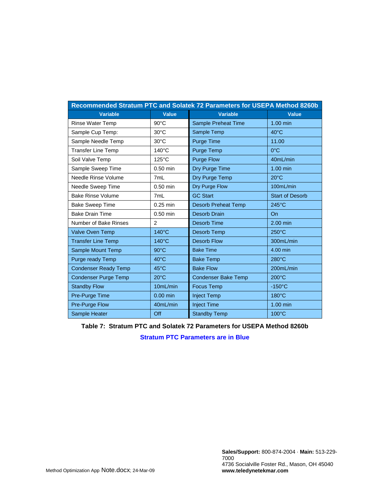| Recommended Stratum PTC and Solatek 72 Parameters for USEPA Method 8260b |                 |                            |                        |  |  |
|--------------------------------------------------------------------------|-----------------|----------------------------|------------------------|--|--|
| <b>Variable</b>                                                          | <b>Value</b>    | <b>Variable</b>            | Value                  |  |  |
| <b>Rinse Water Temp</b>                                                  | $90^{\circ}$ C  | <b>Sample Preheat Time</b> | $1.00$ min             |  |  |
| Sample Cup Temp:                                                         | $30^{\circ}$ C  | Sample Temp                | $40^{\circ}$ C         |  |  |
| Sample Needle Temp                                                       | $30^{\circ}$ C  | <b>Purge Time</b>          | 11.00                  |  |  |
| <b>Transfer Line Temp</b>                                                | 140°C           | Purge Temp                 | $0^{\circ}$ C          |  |  |
| Soil Valve Temp                                                          | $125^{\circ}$ C | <b>Purge Flow</b>          | 40mL/min               |  |  |
| Sample Sweep Time                                                        | $0.50$ min      | Dry Purge Time             | $1.00$ min             |  |  |
| Needle Rinse Volume                                                      | 7mL             | Dry Purge Temp             | $20^{\circ}$ C         |  |  |
| Needle Sweep Time                                                        | $0.50$ min      | Dry Purge Flow             | 100mL/min              |  |  |
| <b>Bake Rinse Volume</b>                                                 | 7mL             | <b>GC Start</b>            | <b>Start of Desorb</b> |  |  |
| <b>Bake Sweep Time</b>                                                   | $0.25$ min      | <b>Desorb Preheat Temp</b> | $245^{\circ}$ C        |  |  |
| <b>Bake Drain Time</b>                                                   | $0.50$ min      | <b>Desorb Drain</b>        | On                     |  |  |
| Number of Bake Rinses                                                    | 2               | Desorb Time                | $2.00$ min             |  |  |
| <b>Valve Oven Temp</b>                                                   | $140^{\circ}$ C | Desorb Temp                | $250^{\circ}$ C        |  |  |
| <b>Transfer Line Temp</b>                                                | $140^{\circ}$ C | <b>Desorb Flow</b>         | 300mL/min              |  |  |
| Sample Mount Temp                                                        | $90^{\circ}$ C  | <b>Bake Time</b>           | 4.00 min               |  |  |
| Purge ready Temp                                                         | $40^{\circ}$ C  | <b>Bake Temp</b>           | $280^{\circ}$ C        |  |  |
| <b>Condenser Ready Temp</b>                                              | $45^{\circ}$ C  | <b>Bake Flow</b>           | 200mL/min              |  |  |
| <b>Condenser Purge Temp</b>                                              | $20^{\circ}$ C  | <b>Condenser Bake Temp</b> | $200^{\circ}$ C        |  |  |
| <b>Standby Flow</b>                                                      | 10mL/min        | <b>Focus Temp</b>          | $-150^{\circ}$ C       |  |  |
| Pre-Purge Time                                                           | $0.00$ min      | <b>Inject Temp</b>         | 180°C                  |  |  |
| Pre-Purge Flow                                                           | 40mL/min        | <b>Inject Time</b>         | $1.00$ min             |  |  |
| Sample Heater                                                            | Off             | <b>Standby Temp</b>        | 100°C                  |  |  |

**Table 7: Stratum PTC and Solatek 72 Parameters for USEPA Method 8260b**

**Stratum PTC Parameters are in Blue**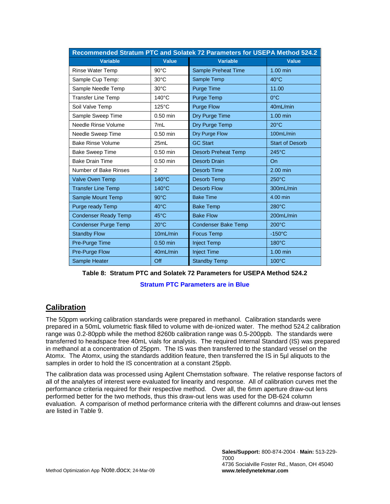| Recommended Stratum PTC and Solatek 72 Parameters for USEPA Method 524.2 |                 |                            |                        |  |  |
|--------------------------------------------------------------------------|-----------------|----------------------------|------------------------|--|--|
| <b>Variable</b>                                                          | <b>Value</b>    | <b>Variable</b>            | <b>Value</b>           |  |  |
| Rinse Water Temp                                                         | $90^{\circ}$ C  | <b>Sample Preheat Time</b> | 1.00 min               |  |  |
| Sample Cup Temp:                                                         | $30^{\circ}$ C  | Sample Temp                | $40^{\circ}$ C         |  |  |
| Sample Needle Temp                                                       | $30^{\circ}$ C  | Purge Time                 | 11.00                  |  |  |
| <b>Transfer Line Temp</b>                                                | $140^{\circ}$ C | Purge Temp                 | $0^{\circ}$ C          |  |  |
| Soil Valve Temp                                                          | $125^{\circ}$ C | <b>Purge Flow</b>          | 40mL/min               |  |  |
| Sample Sweep Time                                                        | $0.50$ min      | Dry Purge Time             | 1.00 min               |  |  |
| Needle Rinse Volume                                                      | 7mL             | Dry Purge Temp             | $20^{\circ}$ C         |  |  |
| Needle Sweep Time                                                        | $0.50$ min      | Dry Purge Flow             | 100mL/min              |  |  |
| <b>Bake Rinse Volume</b>                                                 | 25mL            | <b>GC Start</b>            | <b>Start of Desorb</b> |  |  |
| <b>Bake Sweep Time</b>                                                   | $0.50$ min      | <b>Desorb Preheat Temp</b> | $245^{\circ}$ C        |  |  |
| <b>Bake Drain Time</b>                                                   | $0.50$ min      | <b>Desorb Drain</b>        | On                     |  |  |
| Number of Bake Rinses                                                    | 2               | Desorb Time                | 2.00 min               |  |  |
| <b>Valve Oven Temp</b>                                                   | $140^{\circ}$ C | Desorb Temp                | $250^{\circ}$ C        |  |  |
| <b>Transfer Line Temp</b>                                                | $140^{\circ}$ C | <b>Desorb Flow</b>         | 300mL/min              |  |  |
| Sample Mount Temp                                                        | $90^{\circ}$ C  | <b>Bake Time</b>           | 4.00 min               |  |  |
| Purge ready Temp                                                         | $40^{\circ}$ C  | <b>Bake Temp</b>           | $280^{\circ}$ C        |  |  |
| <b>Condenser Ready Temp</b>                                              | 45°C            | <b>Bake Flow</b>           | 200mL/min              |  |  |
| <b>Condenser Purge Temp</b>                                              | $20^{\circ}$ C  | <b>Condenser Bake Temp</b> | $200^{\circ}$ C        |  |  |
| <b>Standby Flow</b>                                                      | 10mL/min        | <b>Focus Temp</b>          | $-150^{\circ}$ C       |  |  |
| Pre-Purge Time                                                           | $0.50$ min      | <b>Inject Temp</b>         | $180^{\circ}$ C        |  |  |
| Pre-Purge Flow                                                           | 40mL/min        | <b>Inject Time</b>         | 1.00 min               |  |  |
| Sample Heater                                                            | Off             | <b>Standby Temp</b>        | $100^{\circ}$ C        |  |  |

|  |  |  |  | Table 8: Stratum PTC and Solatek 72 Parameters for USEPA Method 524.2 |  |  |
|--|--|--|--|-----------------------------------------------------------------------|--|--|
|--|--|--|--|-----------------------------------------------------------------------|--|--|

**Stratum PTC Parameters are in Blue**

## **Calibration**

The 50ppm working calibration standards were prepared in methanol. Calibration standards were prepared in a 50mL volumetric flask filled to volume with de-ionized water. The method 524.2 calibration range was 0.2-80ppb while the method 8260b calibration range was 0.5-200ppb. The standards were transferred to headspace free 40mL vials for analysis. The required Internal Standard (IS) was prepared in methanol at a concentration of 25ppm. The IS was then transferred to the standard vessel on the Atomx. The Atomx, using the standards addition feature, then transferred the IS in 5µl aliquots to the samples in order to hold the IS concentration at a constant 25ppb.

The calibration data was processed using Agilent Chemstation software. The relative response factors of all of the analytes of interest were evaluated for linearity and response. All of calibration curves met the performance criteria required for their respective method. Over all, the 6mm aperture draw-out lens performed better for the two methods, thus this draw-out lens was used for the DB-624 column evaluation. A comparison of method performance criteria with the different columns and draw-out lenses are listed in Table 9.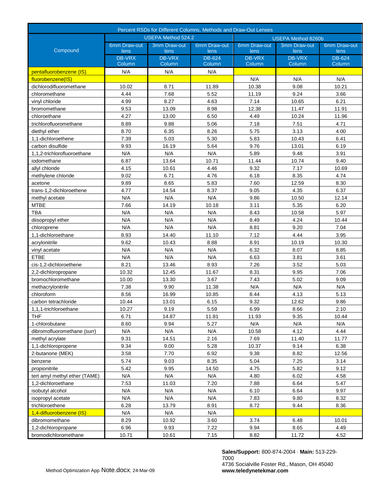| Percent RSDs for Different Columns, Methods and Draw-Out Lenses |                      |                           |                      |                           |                      |                      |  |
|-----------------------------------------------------------------|----------------------|---------------------------|----------------------|---------------------------|----------------------|----------------------|--|
|                                                                 |                      | <b>USEPA Method 524.2</b> |                      | <b>USEPA Method 8260b</b> |                      |                      |  |
| Compound                                                        | 6mm Draw-out<br>lens | 3mm Draw-out<br>lens      | 6mm Draw-out<br>lens | 6mm Draw-out<br>lens      | 3mm Draw-out<br>lens | 6mm Draw-out<br>lens |  |
|                                                                 | <b>DB-VRX</b>        | <b>DB-VRX</b>             | DB-624               | <b>DB-VRX</b>             | <b>DB-VRX</b>        | DB-624               |  |
|                                                                 | Column               | Column                    | Column               | Column                    | Column               | Column               |  |
| pentafluorobenzene (IS)                                         | N/A                  | N/A                       | N/A                  |                           |                      |                      |  |
| fluorobenzene(IS)                                               |                      |                           |                      | N/A                       | N/A                  | N/A                  |  |
| dichlorodifluoromethane                                         | 10.02                | 8.71                      | 11.89                | 10.38                     | 9.08                 | 10.21                |  |
| chloromethane                                                   | 4.44                 | 7.68                      | 5.52                 | 11.19                     | 9.24                 | 3.66                 |  |
| vinyl chloride                                                  | 4.99                 | 8.27                      | 4.63                 | 7.14                      | 10.65                | 6.21                 |  |
| bromomethane                                                    | 9.53                 | 13.09                     | 8.98                 | 12.38                     | 11.47                | 11.91                |  |
| chloroethane                                                    | 4.27                 | 13.00                     | 6.50                 | 4.49                      | 10.24                | 11.96                |  |
| trichlorofluoromethane                                          | 8.89                 | 9.88                      | 5.06                 | 7.18                      | 7.51                 | 4.71                 |  |
| diethyl ether                                                   | 8.70                 | 6.35                      | 8.26                 | 5.75                      | 3.13                 | 4.00                 |  |
| 1,1-dichloroethene                                              | 7.39                 | 5.03                      | 5.30                 | 5.83                      | 10.43                | 6.41                 |  |
| carbon disulfide                                                | 9.93                 | 16.19                     | 5.64                 | 9.76                      | 13.01                | 6.19                 |  |
| 1,1,2-trichlorofluoroethane                                     | N/A                  | N/A                       | N/A                  | 5.89                      | 9.48                 | 3.91                 |  |
| iodomethane                                                     | 6.87                 | 13.64                     | 10.71                | 11.44                     | 10.74                | 9.40                 |  |
| allyl chloride                                                  | 4.15                 | 10.61                     | 4.46                 | 9.32                      | 7.17                 | 10.69                |  |
| methylene chloride                                              | 9.02                 | 6.71                      | 4.76                 | 6.18                      | 8.35                 | 4.74                 |  |
| acetone                                                         | 9.89                 | 8.65                      | 5.83                 | 7.60                      | 12.59                | 8.30                 |  |
| trans-1,2-dichloroethene                                        | 4.77                 | 14.54                     | 8.37                 | 9.05                      | 4.35                 | 6.37                 |  |
| methyl acetate                                                  | N/A                  | N/A                       | N/A                  | 9.86                      | 10.50                | 12.14                |  |
| <b>MTBE</b>                                                     | 7.66                 | 14.19                     | 10.18                | 3.11                      | 5.35                 | 6.20                 |  |
| <b>TBA</b>                                                      | N/A                  | N/A                       | N/A                  | 8.43                      | 10.58                | 5.97                 |  |
| diisopropyl ether                                               | N/A                  | N/A                       | N/A                  | 8.49                      | 4.24                 | 10.44                |  |
| chloroprene                                                     | N/A                  | N/A                       | N/A                  | 8.81                      | 9.20                 | 7.04                 |  |
| 1,1-dichloroethane                                              | 8.93                 | 14.40                     | 11.10                | 7.12                      | 4.44                 | 3.95                 |  |
| acrylonitrile                                                   | 9.62                 | 10.43                     | 8.88                 | 8.91                      | 10.19                | 10.30                |  |
| vinyl acetate                                                   | N/A                  | N/A                       | N/A                  | 6.32                      | 8.07                 | 8.85                 |  |
| <b>ETBE</b>                                                     | N/A                  | N/A                       | N/A                  | 6.63                      | 3.81                 | 3.61                 |  |
| cis-1,2-dichloroethene                                          | 8.21                 | 13.46                     | 8.93                 | 7.26                      | 3.52                 | 5.03                 |  |
| 2,2-dichloropropane                                             | 10.32                | 12.45                     | 11.67                | 8.31                      | 9.95                 | 7.06                 |  |
| bromochloromethane                                              | 10.00                | 13.30                     | 3.67                 | 7.43                      | 5.02                 | 9.09                 |  |
| methacrylonitrile                                               | 7.38                 | 9.90                      | 11.38                | N/A                       | N/A                  | N/A                  |  |
| chloroform                                                      | 8.56                 | 16.99                     | 10.85                | 8.44                      | 4.13                 | 5.13                 |  |
| carbon tetrachloride                                            | 10.44                | 13.01                     | 6.15                 | 9.32                      | 12.62                | 9.86                 |  |
| 1,1,1-trichloroethane                                           | 10.27                | 9.19                      | 5.59                 | 6.99                      | 8.66                 | 2.10                 |  |
| THF                                                             | 6.71                 | 14.87                     | 11.81                | 11.93                     | 9.35                 | 10.44                |  |
| 1-chlorobutane                                                  | 8.60                 | 9.94                      | 5.27                 | N/A                       | N/A                  | N/A                  |  |
| dibromofluoromethane (surr)                                     | N/A                  | N/A                       | N/A                  | 10.58                     | 4.12                 | 4.44                 |  |
| methyl acrylate                                                 | 9.31                 | 14.51                     | 2.16                 | 7.69                      | 11.40                | 11.77                |  |
| 1,1-dichloropropene                                             | 9.34                 | 9.00                      | 5.28                 | 10.37                     | 9.14                 | 6.38                 |  |
| 2-butanone (MEK)                                                | 3.58                 | 7.70                      | 6.92                 | 9.38                      | 8.82                 | 12.56                |  |
| benzene                                                         | 5.74                 | 9.03                      | 8.35                 | 5.04                      | 7.25                 | 3.14                 |  |
| propionitrile                                                   | 5.42                 | 9.95                      | 14.50                | 4.75                      | 5.82                 | 9.12                 |  |
| tert amyl methyl ether (TAME)                                   | N/A                  | N/A                       | N/A                  | 4.80                      | 6.02                 | 4.58                 |  |
| 1,2-dichloroethane                                              | 7.53                 | 11.03                     | 7.20                 | 7.88                      | 6.64                 | 5.47                 |  |
| isobutyl alcohol                                                | N/A                  | N/A                       | N/A                  | 6.10                      | 6.64                 | 9.97                 |  |
| isopropyl acetate                                               | N/A                  | N/A                       | N/A                  | 7.83                      | 9.80                 | 8.32                 |  |
| trichloroethene                                                 | 6.28                 | 13.79                     | 8.91                 | 8.72                      | 9.44                 | 8.36                 |  |
| 1,4-difluorobenzene (IS)                                        | N/A                  | N/A                       | N/A                  |                           |                      |                      |  |
| dibromomethane                                                  | 8.29                 | 10.92                     | 3.60                 | 3.74                      | 6.48                 | 10.01                |  |
| 1,2-dichloropropane                                             | 6.96                 | 9.93                      | 7.22                 | 9.94                      | 8.65                 | 4.49                 |  |
| bromodichloromethane                                            | 10.71                | 10.61                     | 7.15                 | 8.82                      | 11.72                | 4.52                 |  |

**Sales/Support:** 800-874-2004 · **Main:** 513-229- 7000

4736 Socialville Foster Rd., Mason, OH 45040 **www.teledynetekmar.com**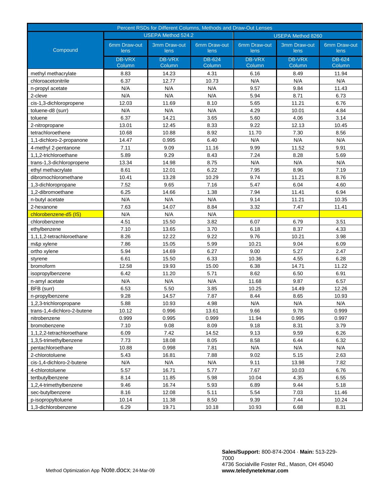| Percent RSDs for Different Columns, Methods and Draw-Out Lenses |                                                       |                         |                         |                         |                         |                         |
|-----------------------------------------------------------------|-------------------------------------------------------|-------------------------|-------------------------|-------------------------|-------------------------|-------------------------|
|                                                                 | <b>USEPA Method 524.2</b><br><b>USEPA Method 8260</b> |                         |                         |                         |                         |                         |
| Compound                                                        | 6mm Draw-out<br>lens                                  | 3mm Draw-out<br>lens    | 6mm Draw-out<br>lens    | 6mm Draw-out<br>lens    | 3mm Draw-out<br>lens    | 6mm Draw-out<br>lens    |
|                                                                 | <b>DB-VRX</b><br>Column                               | <b>DB-VRX</b><br>Column | <b>DB-624</b><br>Column | <b>DB-VRX</b><br>Column | <b>DB-VRX</b><br>Column | <b>DB-624</b><br>Column |
| methyl methacrylate                                             | 8.83                                                  | 14.23                   | 4.31                    | 6.16                    | 8.49                    | 11.94                   |
| chloroacetonitrile                                              | 6.37                                                  | 12.77                   | 10.73                   | N/A                     | N/A                     | N/A                     |
| n-propyl acetate                                                | N/A                                                   | N/A                     | N/A                     | 9.57                    | 9.84                    | 11.43                   |
| 2-cleve                                                         | N/A                                                   | N/A                     | N/A                     | 5.94                    | 8.71                    | 6.73                    |
| cis-1,3-dichloropropene                                         | 12.03                                                 | 11.69                   | 8.10                    | 5.65                    | 11.21                   | 6.76                    |
| toluene-d8 (surr)                                               | N/A                                                   | N/A                     | N/A                     | 4.29                    | 10.01                   | 4.84                    |
| toluene                                                         | 6.37                                                  | 14.21                   | 3.65                    | 5.60                    | 4.06                    | 3.14                    |
| 2-nitropropane                                                  | 13.01                                                 | 12.45                   | 8.33                    | 9.22                    | 12.13                   | 10.45                   |
| tetrachloroethene                                               | 10.68                                                 | 10.88                   | 8.92                    | 11.70                   | 7.30                    | 8.56                    |
| 1,1-dichloro-2-propanone                                        | 14.47                                                 | 0.995                   | 6.40                    | N/A                     | N/A                     | N/A                     |
| 4-methyl 2-pentanone                                            | 7.11                                                  | 9.09                    | 11.16                   | 9.99                    | 11.52                   | 9.91                    |
| 1,1,2-trichloroethane                                           | 5.89                                                  | 9.29                    | 8.43                    | 7.24                    | 8.28                    | 5.69                    |
| trans-1,3-dichloropropene                                       | 13.34                                                 | 14.98                   | 8.75                    | N/A                     | N/A                     | N/A                     |
| ethyl methacrylate                                              | 8.61                                                  | 12.01                   | 6.22                    | 7.95                    | 8.96                    | 7.19                    |
| dibromochloromethane                                            | 10.41                                                 | 13.28                   | 10.29                   | 9.74                    | 11.21                   | 8.76                    |
| 1,3-dichloropropane                                             | 7.52                                                  | 9.65                    | 7.16                    | 5.47                    | 6.04                    | 4.60                    |
| 1.2-dibromoethane                                               | 6.25                                                  | 14.66                   | 1.38                    | 7.94                    | 11.41                   | 6.94                    |
| n-butyl acetate                                                 | N/A                                                   | N/A                     | N/A                     | 9.14                    | 11.21                   | 10.35                   |
| 2-hexanone                                                      | 7.63                                                  | 14.07                   | 8.84                    | 3.32                    | 7.47                    | 11.41                   |
| chlorobenzene-d5 (IS)                                           | N/A                                                   | N/A                     | N/A                     |                         |                         |                         |
| chlorobenzene                                                   | 4.51                                                  | 15.50                   | 3.82                    | 6.07                    | 6.79                    | 3.51                    |
| ethylbenzene                                                    | 7.10                                                  | 13.65                   | 3.70                    | 6.18                    | 8.37                    | 4.33                    |
| 1,1,1,2-tetrachloroethane                                       | 8.26                                                  | 12.22                   | 9.22                    | 9.76                    | 10.21                   | 3.98                    |
| m&p xylene                                                      | 7.86                                                  | 15.05                   | 5.99                    | 10.21                   | 9.04                    | 6.09                    |
| ortho xylene                                                    | 5.94                                                  | 14.69                   | 6.27                    | 9.00                    | 5.27                    | 2.47                    |
| styrene                                                         | 6.61                                                  | 15.50                   | 6.33                    | 10.36                   | 4.55                    | 6.28                    |
| bromoform                                                       | 12.58                                                 | 19.93                   | 15.00                   | 6.38                    | 14.71                   | 11.22                   |
| isopropylbenzene                                                | 6.42                                                  | 11.20                   | 5.71                    | 8.62                    | 6.50                    | 6.91                    |
| n-amyl acetate                                                  | N/A                                                   | N/A                     | N/A                     | 11.68                   | 9.87                    | 6.57                    |
| BFB (surr)                                                      | 6.53                                                  | 5.50                    | 3.85                    | 10.25                   | 14.49                   | 12.26                   |
| n-propylbenzene                                                 | 9.28                                                  | 14.57                   | 7.87                    | 8.44                    | 8.65                    | 10.93                   |
| 1,2,3-trichloropropane                                          | 5.88                                                  | 10.93                   | 4.98                    | N/A                     | N/A                     | N/A                     |
| trans-1,4-dichloro-2-butene                                     | 10.12                                                 | 0.996                   | 13.61                   | 9.66                    | 9.78                    | 0.999                   |
| nitrobenzene                                                    | 0.999                                                 | 0.995                   | 0.999                   | 11.94                   | 0.995                   | 0.997                   |
| bromobenzene                                                    | 7.10                                                  | 9.08                    | 8.09                    | 9.18                    | 8.31                    | 3.79                    |
| 1,1,2,2-tetrachloroethane                                       | 6.09                                                  | 7.42                    | 14.52                   | 9.13                    | 9.59                    | 6.26                    |
| 1,3,5-trimethylbenzene                                          | 7.73                                                  | 18.08                   | 8.05                    | 8.58                    | 6.44                    | 6.32                    |
| pentachloroethane                                               | 10.88                                                 | 0.998                   | 7.81                    | N/A                     | N/A                     | N/A                     |
| 2-chlorotoluene                                                 | 5.43                                                  | 16.81                   | 7.88                    | 9.02                    | 5.15                    | 2.63                    |
| cis-1,4-dichloro-2-butene                                       | N/A                                                   | N/A                     | N/A                     | 9.11                    | 13.98                   | 7.82                    |
| 4-chlorotoluene                                                 | 5.57                                                  | 16.71                   | 5.77                    | 7.67                    | 10.03                   | 6.76                    |
| tertbutylbenzene                                                | 8.14                                                  | 11.85                   | 5.98                    | 10.04                   | 4.35                    | 6.55                    |
| 1,2,4-trimethylbenzene                                          | 9.46                                                  | 16.74                   | 5.93                    | 6.89                    | 9.44                    | 5.18                    |
| sec-butylbenzene                                                | 8.16                                                  | 12.08                   | 5.11                    | 5.54                    | 7.03                    | 11.46                   |
| p-isopropyltoluene                                              | 10.14                                                 | 11.38                   | 8.50                    | 9.39                    | 7.44                    | 10.24                   |
| 1,3-dichlorobenzene                                             | 6.29                                                  | 19.71                   | 10.18                   | 10.93                   | 6.68                    | 8.31                    |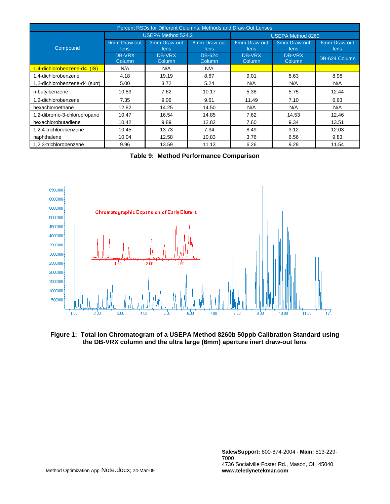| Percent RSDs for Different Columns, Methods and Draw-Out Lenses |                           |                         |                         |                          |                      |                      |  |  |
|-----------------------------------------------------------------|---------------------------|-------------------------|-------------------------|--------------------------|----------------------|----------------------|--|--|
|                                                                 | <b>USEPA Method 524.2</b> |                         |                         | <b>USEPA Method 8260</b> |                      |                      |  |  |
| Compound                                                        | 6mm Draw-out<br>lens      | 3mm Draw-out<br>lens    | 6mm Draw-out<br>lens    | 6mm Draw-out<br>lens     | 3mm Draw-out<br>lens | 6mm Draw-out<br>lens |  |  |
|                                                                 | DB-VRX<br>Column          | <b>DB-VRX</b><br>Column | <b>DB-624</b><br>Column | DB-VRX<br>Column         | DB-VRX<br>Column     | DB-624 Column        |  |  |
| 1,4-dichlorobenzene-d4 (IS)                                     | N/A                       | N/A                     | N/A                     |                          |                      |                      |  |  |
| 1,4-dichlorobenzene                                             | 4.18                      | 19.19                   | 8.67                    | 9.01                     | 8.63                 | 8.98                 |  |  |
| 1,2-dichlorobenzene-d4 (surr)                                   | 5.00                      | 3.72                    | 5.24                    | N/A                      | N/A                  | N/A                  |  |  |
| n-butylbenzene                                                  | 10.83                     | 7.62                    | 10.17                   | 5.38                     | 5.75                 | 12.44                |  |  |
| 1,2-dichlorobenzene                                             | 7.35                      | 9.06                    | 9.61                    | 11.49                    | 7.10                 | 6.63                 |  |  |
| hexachloroethane                                                | 12.82                     | 14.25                   | 14.50                   | N/A                      | N/A                  | N/A                  |  |  |
| 1,2-dibromo-3-chloropropane                                     | 10.47                     | 16.54                   | 14.85                   | 7.62                     | 14.53                | 12.46                |  |  |
| hexachlorobutadiene                                             | 10.42                     | 9.89                    | 12.82                   | 7.60                     | 9.34                 | 13.51                |  |  |
| 1,2,4-trichlorobenzene                                          | 10.45                     | 13.73                   | 7.34                    | 8.49                     | 3.12                 | 12.03                |  |  |
| naphthalene                                                     | 10.04                     | 12.58                   | 10.83                   | 3.76                     | 6.56                 | 9.83                 |  |  |
| 1,2,3-trichlorobenzene                                          | 9.96                      | 13.59                   | 11.13                   | 6.26                     | 9.28                 | 11.54                |  |  |

|  |  | Table 9: Method Performance Comparison |  |
|--|--|----------------------------------------|--|
|--|--|----------------------------------------|--|



**Figure 1: Total Ion Chromatogram of a USEPA Method 8260b 50ppb Calibration Standard using the DB-VRX column and the ultra large (6mm) aperture inert draw-out lens**